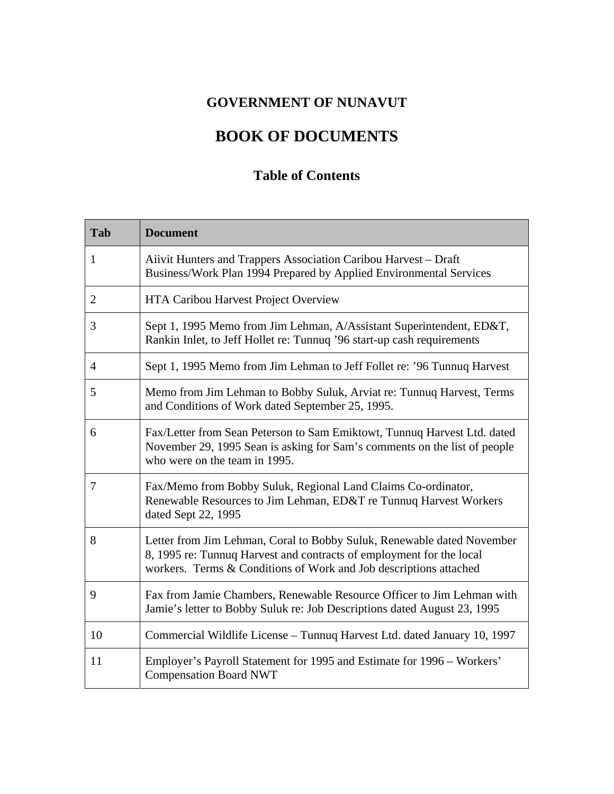## **GOVERNMENT OF NUNAVUT**

## **BOOK OF DOCUMENTS**

## **Table of Contents**

| Tab            | <b>Document</b>                                                                                                                                                                                                     |
|----------------|---------------------------------------------------------------------------------------------------------------------------------------------------------------------------------------------------------------------|
| $\mathbf{1}$   | Aiivit Hunters and Trappers Association Caribou Harvest – Draft<br>Business/Work Plan 1994 Prepared by Applied Environmental Services                                                                               |
| 2              | HTA Caribou Harvest Project Overview                                                                                                                                                                                |
| 3              | Sept 1, 1995 Memo from Jim Lehman, A/Assistant Superintendent, ED&T,<br>Rankin Inlet, to Jeff Hollet re: Tunnuq '96 start-up cash requirements                                                                      |
| $\overline{4}$ | Sept 1, 1995 Memo from Jim Lehman to Jeff Follet re: '96 Tunnuq Harvest                                                                                                                                             |
| 5              | Memo from Jim Lehman to Bobby Suluk, Arviat re: Tunnuq Harvest, Terms<br>and Conditions of Work dated September 25, 1995.                                                                                           |
| 6              | Fax/Letter from Sean Peterson to Sam Emiktowt, Tunnuq Harvest Ltd. dated<br>November 29, 1995 Sean is asking for Sam's comments on the list of people<br>who were on the team in 1995.                              |
| $\overline{7}$ | Fax/Memo from Bobby Suluk, Regional Land Claims Co-ordinator,<br>Renewable Resources to Jim Lehman, ED&T re Tunnuq Harvest Workers<br>dated Sept 22, 1995                                                           |
| 8              | Letter from Jim Lehman, Coral to Bobby Suluk, Renewable dated November<br>8, 1995 re: Tunnuq Harvest and contracts of employment for the local<br>workers. Terms & Conditions of Work and Job descriptions attached |
| 9              | Fax from Jamie Chambers, Renewable Resource Officer to Jim Lehman with<br>Jamie's letter to Bobby Suluk re: Job Descriptions dated August 23, 1995                                                                  |
| 10             | Commercial Wildlife License - Tunnuq Harvest Ltd. dated January 10, 1997                                                                                                                                            |
| 11             | Employer's Payroll Statement for 1995 and Estimate for 1996 – Workers'<br><b>Compensation Board NWT</b>                                                                                                             |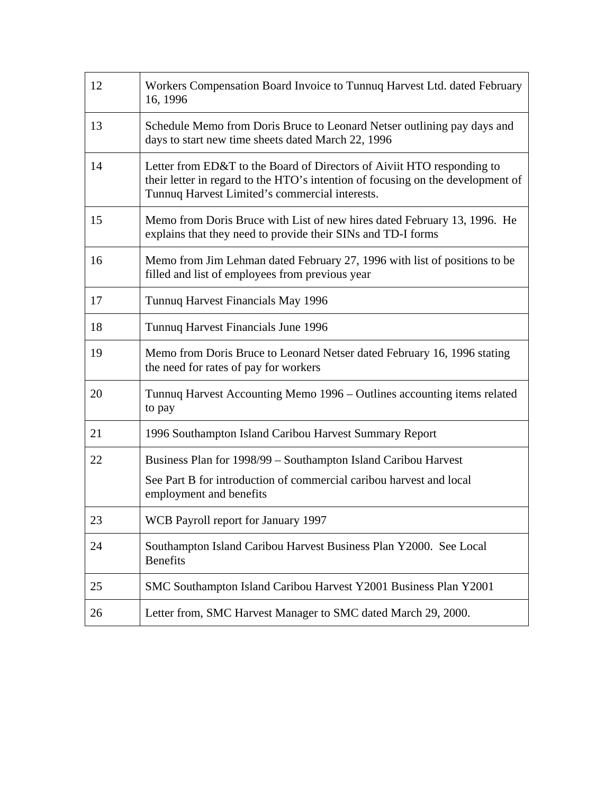| 12 | Workers Compensation Board Invoice to Tunnuq Harvest Ltd. dated February<br>16, 1996                                                                                                                        |
|----|-------------------------------------------------------------------------------------------------------------------------------------------------------------------------------------------------------------|
| 13 | Schedule Memo from Doris Bruce to Leonard Netser outlining pay days and<br>days to start new time sheets dated March 22, 1996                                                                               |
| 14 | Letter from ED&T to the Board of Directors of Aiviit HTO responding to<br>their letter in regard to the HTO's intention of focusing on the development of<br>Tunnuq Harvest Limited's commercial interests. |
| 15 | Memo from Doris Bruce with List of new hires dated February 13, 1996. He<br>explains that they need to provide their SINs and TD-I forms                                                                    |
| 16 | Memo from Jim Lehman dated February 27, 1996 with list of positions to be<br>filled and list of employees from previous year                                                                                |
| 17 | Tunnuq Harvest Financials May 1996                                                                                                                                                                          |
| 18 | Tunnuq Harvest Financials June 1996                                                                                                                                                                         |
| 19 | Memo from Doris Bruce to Leonard Netser dated February 16, 1996 stating<br>the need for rates of pay for workers                                                                                            |
| 20 | Tunnuq Harvest Accounting Memo 1996 – Outlines accounting items related<br>to pay                                                                                                                           |
| 21 | 1996 Southampton Island Caribou Harvest Summary Report                                                                                                                                                      |
| 22 | Business Plan for 1998/99 – Southampton Island Caribou Harvest                                                                                                                                              |
|    | See Part B for introduction of commercial caribou harvest and local<br>employment and benefits                                                                                                              |
| 23 | WCB Payroll report for January 1997                                                                                                                                                                         |
| 24 | Southampton Island Caribou Harvest Business Plan Y2000. See Local<br><b>Benefits</b>                                                                                                                        |
| 25 | SMC Southampton Island Caribou Harvest Y2001 Business Plan Y2001                                                                                                                                            |
| 26 | Letter from, SMC Harvest Manager to SMC dated March 29, 2000.                                                                                                                                               |